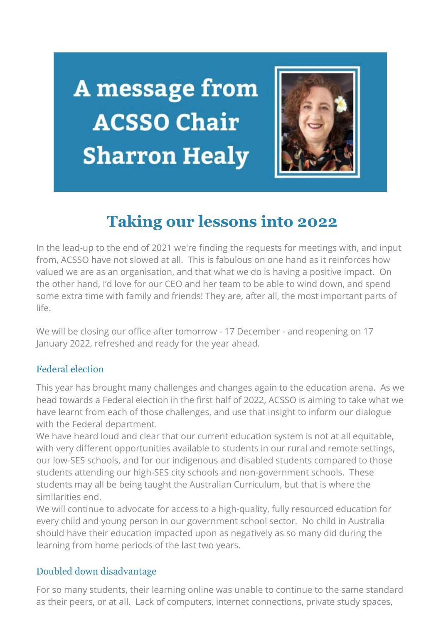**A** message from **ACSSO Chair Sharron Healy** 



# **Taking our lessons into 2022**

In the lead-up to the end of 2021 we're finding the requests for meetings with, and input from, ACSSO have not slowed at all. This is fabulous on one hand as it reinforces how valued we are as an organisation, and that what we do is having a positive impact. On the other hand, I'd love for our CEO and her team to be able to wind down, and spend some extra time with family and friends! They are, after all, the most important parts of life.

We will be closing our office after tomorrow - 17 December - and reopening on 17 January 2022, refreshed and ready for the year ahead.

## Federal election

This year has brought many challenges and changes again to the education arena. As we head towards a Federal election in the first half of 2022, ACSSO is aiming to take what we have learnt from each of those challenges, and use that insight to inform our dialogue with the Federal department.

We have heard loud and clear that our current education system is not at all equitable, with very different opportunities available to students in our rural and remote settings, our low-SES schools, and for our indigenous and disabled students compared to those students attending our high-SES city schools and non-government schools. These students may all be being taught the Australian Curriculum, but that is where the similarities end.

We will continue to advocate for access to a high-quality, fully resourced education for every child and young person in our government school sector. No child in Australia should have their education impacted upon as negatively as so many did during the learning from home periods of the last two years.

## Doubled down disadvantage

For so many students, their learning online was unable to continue to the same standard as their peers, or at all. Lack of computers, internet connections, private study spaces,